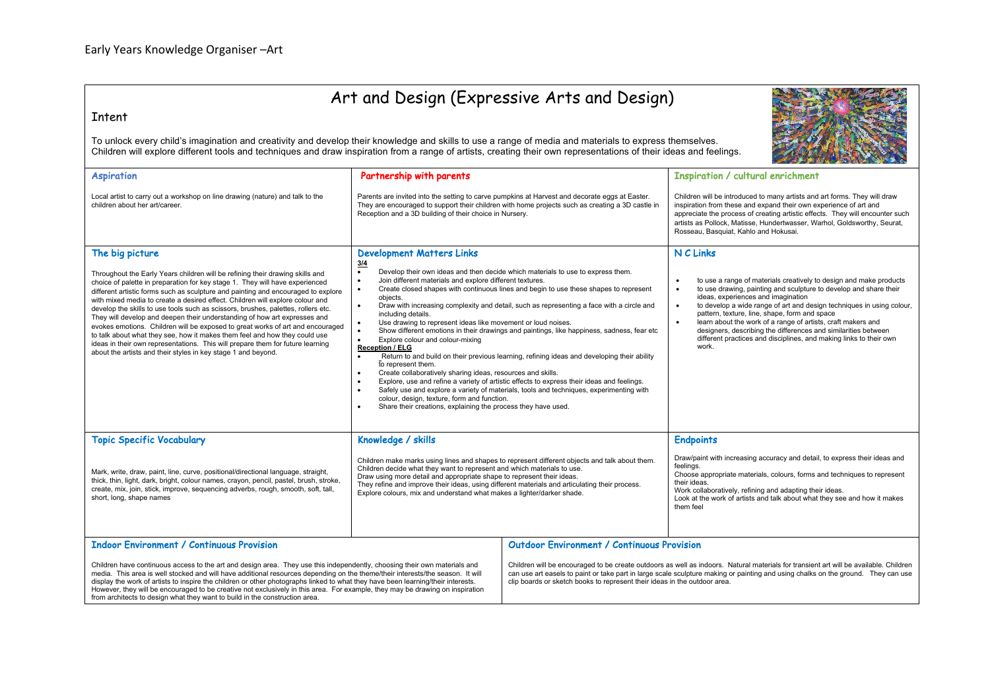## Art and Design (Expressive Arts and Design)

## Intent

To unlock every child's imagination and creativity and develop their knowledge and skills to use a range of media and materials to express themselves. Children will explore different tools and techniques and draw inspiration from a range of artists, creating their own representations of their ideas and feelings.

| <b>Aspiration</b>                                                                                                                                                                                                                                                                                                                                                                                                                                                                                                                                                                                                                                                                                                                                                                                                                           | Partnership with parents                                                                                                                                                                                                                                                                                                                                                                                                                                                                                                                                                                                                                                                                                                                                                                                                                                                                                                                                                                                                                                                                                                                                                                                                                                                                            |                                                                                                                                                                                                                                                                                                                                                                                                              | <b>Inspiration / cultural enrichment</b>                                                                                                                                                                                                                                                                                                                                                                                                                                                                                                                                     |
|---------------------------------------------------------------------------------------------------------------------------------------------------------------------------------------------------------------------------------------------------------------------------------------------------------------------------------------------------------------------------------------------------------------------------------------------------------------------------------------------------------------------------------------------------------------------------------------------------------------------------------------------------------------------------------------------------------------------------------------------------------------------------------------------------------------------------------------------|-----------------------------------------------------------------------------------------------------------------------------------------------------------------------------------------------------------------------------------------------------------------------------------------------------------------------------------------------------------------------------------------------------------------------------------------------------------------------------------------------------------------------------------------------------------------------------------------------------------------------------------------------------------------------------------------------------------------------------------------------------------------------------------------------------------------------------------------------------------------------------------------------------------------------------------------------------------------------------------------------------------------------------------------------------------------------------------------------------------------------------------------------------------------------------------------------------------------------------------------------------------------------------------------------------|--------------------------------------------------------------------------------------------------------------------------------------------------------------------------------------------------------------------------------------------------------------------------------------------------------------------------------------------------------------------------------------------------------------|------------------------------------------------------------------------------------------------------------------------------------------------------------------------------------------------------------------------------------------------------------------------------------------------------------------------------------------------------------------------------------------------------------------------------------------------------------------------------------------------------------------------------------------------------------------------------|
| Local artist to carry out a workshop on line drawing (nature) and talk to the<br>children about her art/career.                                                                                                                                                                                                                                                                                                                                                                                                                                                                                                                                                                                                                                                                                                                             | Parents are invited into the setting to carve pumpkins at Harvest and decorate eggs at Easter.<br>They are encouraged to support their children with home projects such as creating a 3D castle in<br>Reception and a 3D building of their choice in Nursery.                                                                                                                                                                                                                                                                                                                                                                                                                                                                                                                                                                                                                                                                                                                                                                                                                                                                                                                                                                                                                                       |                                                                                                                                                                                                                                                                                                                                                                                                              | Children will be introduced to many artists and art forms. They will draw<br>inspiration from these and expand their own experience of art and<br>appreciate the process of creating artistic effects. They will encounter such<br>artists as Pollock, Matisse, Hundertwasser, Warhol, Goldsworthy, Seurat,<br>Rosseau, Basquiat, Kahlo and Hokusai.                                                                                                                                                                                                                         |
| The big picture<br>Throughout the Early Years children will be refining their drawing skills and<br>choice of palette in preparation for key stage 1. They will have experienced<br>different artistic forms such as sculpture and painting and encouraged to explore<br>with mixed media to create a desired effect. Children will explore colour and<br>develop the skills to use tools such as scissors, brushes, palettes, rollers etc.<br>They will develop and deepen their understanding of how art expresses and<br>evokes emotions. Children will be exposed to great works of art and encouraged<br>to talk about what they see, how it makes them feel and how they could use<br>ideas in their own representations. This will prepare them for future learning<br>about the artists and their styles in key stage 1 and beyond. | <b>Development Matters Links</b><br>3/4<br>Develop their own ideas and then decide which materials to use to express them.<br>$\bullet$<br>Join different materials and explore different textures.<br>$\bullet$<br>Create closed shapes with continuous lines and begin to use these shapes to represent<br>$\bullet$<br>objects.<br>Draw with increasing complexity and detail, such as representing a face with a circle and<br>$\bullet$<br>including details.<br>Use drawing to represent ideas like movement or loud noises.<br>$\bullet$<br>Show different emotions in their drawings and paintings, like happiness, sadness, fear etc<br>$\bullet$<br>Explore colour and colour-mixing<br>$\bullet$<br><b>Reception / ELG</b><br>Return to and build on their previous learning, refining ideas and developing their ability<br>$\bullet$<br>to represent them.<br>Create collaboratively sharing ideas, resources and skills.<br>$\bullet$<br>Explore, use and refine a variety of artistic effects to express their ideas and feelings.<br>$\bullet$<br>Safely use and explore a variety of materials, tools and techniques, experimenting with<br>$\bullet$<br>colour, design, texture, form and function.<br>Share their creations, explaining the process they have used.<br>$\bullet$ |                                                                                                                                                                                                                                                                                                                                                                                                              | N C Links<br>to use a range of materials creatively to design and make products<br>to use drawing, painting and sculpture to develop and share their<br>$\bullet$<br>ideas, experiences and imagination<br>to develop a wide range of art and design techniques in using colour,<br>$\bullet$<br>pattern, texture, line, shape, form and space<br>learn about the work of a range of artists, craft makers and<br>$\bullet$<br>designers, describing the differences and similarities between<br>different practices and disciplines, and making links to their own<br>work. |
| <b>Topic Specific Vocabulary</b><br>Mark, write, draw, paint, line, curve, positional/directional language, straight,<br>thick, thin, light, dark, bright, colour names, crayon, pencil, pastel, brush, stroke,<br>create, mix, join, stick, improve, sequencing adverbs, rough, smooth, soft, tall,<br>short, long, shape names                                                                                                                                                                                                                                                                                                                                                                                                                                                                                                            | Knowledge / skills<br>Children make marks using lines and shapes to represent different objects and talk about them.<br>Children decide what they want to represent and which materials to use.<br>Draw using more detail and appropriate shape to represent their ideas.<br>They refine and improve their ideas, using different materials and articulating their process.<br>Explore colours, mix and understand what makes a lighter/darker shade.                                                                                                                                                                                                                                                                                                                                                                                                                                                                                                                                                                                                                                                                                                                                                                                                                                               |                                                                                                                                                                                                                                                                                                                                                                                                              | <b>Endpoints</b><br>Draw/paint with increasing accuracy and detail, to express their ideas and<br>feelings.<br>Choose appropriate materials, colours, forms and techniques to represent<br>their ideas.<br>Work collaboratively, refining and adapting their ideas.<br>Look at the work of artists and talk about what they see and how it makes<br>them feel                                                                                                                                                                                                                |
| <b>Indoor Environment / Continuous Provision</b><br>Children have continuous access to the art and design area. They use this independently, choosing their own materials and<br>media. This area is well stocked and will have additional resources depending on the theme/their interests/the season. It will<br>display the work of artists to inspire the children or other photographs linked to what they have been learning/their interests.<br>However, they will be encouraged to be creative not exclusively in this area. For example, they may be drawing on inspiration<br>from architects to design what they want to build in the construction area.                                                                                                                                                                         |                                                                                                                                                                                                                                                                                                                                                                                                                                                                                                                                                                                                                                                                                                                                                                                                                                                                                                                                                                                                                                                                                                                                                                                                                                                                                                     | <b>Outdoor Environment / Continuous Provision</b><br>Children will be encouraged to be create outdoors as well as indoors. Natural materials for transient art will be available. Children<br>can use art easels to paint or take part in large scale sculpture making or painting and using chalks on the ground. They can use<br>clip boards or sketch books to represent their ideas in the outdoor area. |                                                                                                                                                                                                                                                                                                                                                                                                                                                                                                                                                                              |